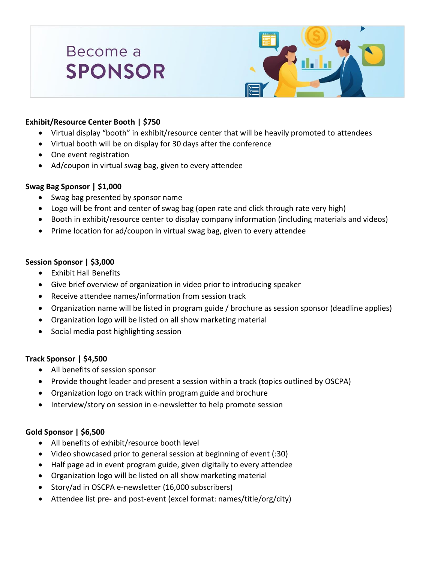# Become a **SPONSOR**



## **Exhibit/Resource Center Booth | \$750**

- Virtual display "booth" in exhibit/resource center that will be heavily promoted to attendees
- Virtual booth will be on display for 30 days after the conference
- One event registration
- Ad/coupon in virtual swag bag, given to every attendee

## **Swag Bag Sponsor | \$1,000**

- Swag bag presented by sponsor name
- Logo will be front and center of swag bag (open rate and click through rate very high)
- Booth in exhibit/resource center to display company information (including materials and videos)
- Prime location for ad/coupon in virtual swag bag, given to every attendee

## **Session Sponsor | \$3,000**

- Exhibit Hall Benefits
- Give brief overview of organization in video prior to introducing speaker
- Receive attendee names/information from session track
- Organization name will be listed in program guide / brochure as session sponsor (deadline applies)
- Organization logo will be listed on all show marketing material
- Social media post highlighting session

#### **Track Sponsor | \$4,500**

- All benefits of session sponsor
- Provide thought leader and present a session within a track (topics outlined by OSCPA)
- Organization logo on track within program guide and brochure
- Interview/story on session in e-newsletter to help promote session

#### **Gold Sponsor | \$6,500**

- All benefits of exhibit/resource booth level
- Video showcased prior to general session at beginning of event (:30)
- Half page ad in event program guide, given digitally to every attendee
- Organization logo will be listed on all show marketing material
- Story/ad in OSCPA e-newsletter (16,000 subscribers)
- Attendee list pre- and post-event (excel format: names/title/org/city)